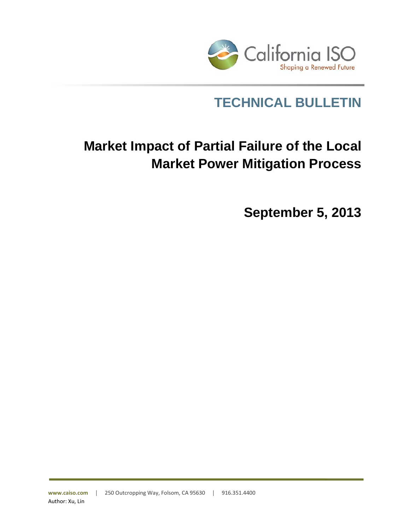

## **TECHNICAL BULLETIN**

# **Market Impact of Partial Failure of the Local Market Power Mitigation Process**

**September 5, 2013**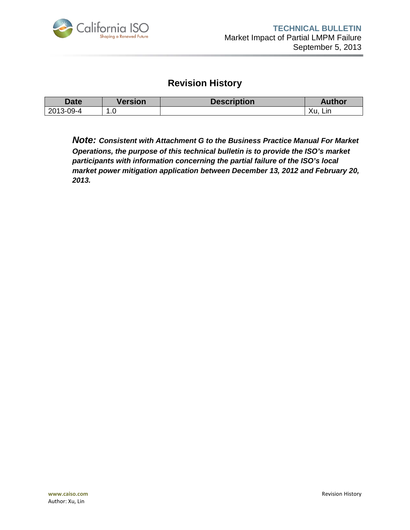

### **Revision History**

| <b>Date</b>               | Version | <b>Description</b> | Author          |
|---------------------------|---------|--------------------|-----------------|
| $\Omega$ -4<br>2013-<br>. | . . U   |                    | Υu<br>Lın<br>∧u |

*Note: Consistent with Attachment G to the Business Practice Manual For Market Operations, the purpose of this technical bulletin is to provide the ISO's market participants with information concerning the partial failure of the ISO's local market power mitigation application between December 13, 2012 and February 20, 2013.*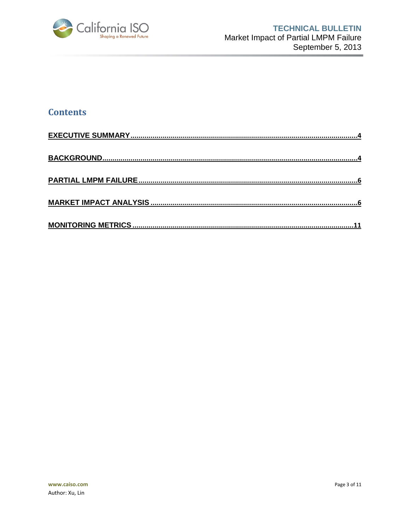

#### **Contents**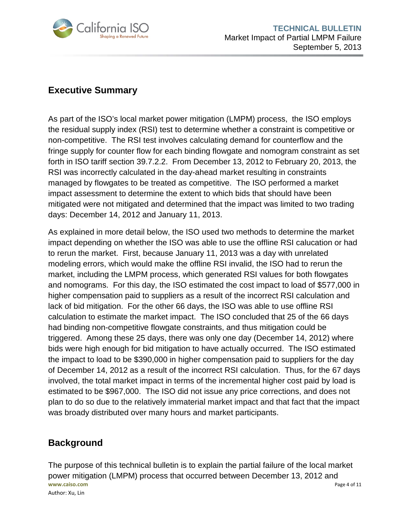

#### <span id="page-3-0"></span>**Executive Summary**

As part of the ISO's local market power mitigation (LMPM) process, the ISO employs the residual supply index (RSI) test to determine whether a constraint is competitive or non-competitive. The RSI test involves calculating demand for counterflow and the fringe supply for counter flow for each binding flowgate and nomogram constraint as set forth in ISO tariff section 39.7.2.2. From December 13, 2012 to February 20, 2013, the RSI was incorrectly calculated in the day-ahead market resulting in constraints managed by flowgates to be treated as competitive. The ISO performed a market impact assessment to determine the extent to which bids that should have been mitigated were not mitigated and determined that the impact was limited to two trading days: December 14, 2012 and January 11, 2013.

As explained in more detail below, the ISO used two methods to determine the market impact depending on whether the ISO was able to use the offline RSI calucation or had to rerun the market. First, because January 11, 2013 was a day with unrelated modeling errors, which would make the offline RSI invalid, the ISO had to rerun the market, including the LMPM process, which generated RSI values for both flowgates and nomograms. For this day, the ISO estimated the cost impact to load of \$577,000 in higher compensation paid to suppliers as a result of the incorrect RSI calculation and lack of bid mitigation. For the other 66 days, the ISO was able to use offline RSI calculation to estimate the market impact. The ISO concluded that 25 of the 66 days had binding non-competitive flowgate constraints, and thus mitigation could be triggered. Among these 25 days, there was only one day (December 14, 2012) where bids were high enough for bid mitigation to have actually occurred. The ISO estimated the impact to load to be \$390,000 in higher compensation paid to suppliers for the day of December 14, 2012 as a result of the incorrect RSI calculation. Thus, for the 67 days involved, the total market impact in terms of the incremental higher cost paid by load is estimated to be \$967,000. The ISO did not issue any price corrections, and does not plan to do so due to the relatively immaterial market impact and that fact that the impact was broady distributed over many hours and market participants.

#### <span id="page-3-1"></span>**Background**

**www.caiso.com** Page 4 of 11 Author: Xu, Lin The purpose of this technical bulletin is to explain the partial failure of the local market power mitigation (LMPM) process that occurred between December 13, 2012 and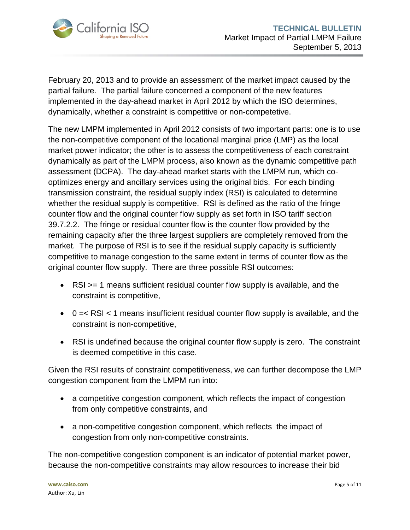

February 20, 2013 and to provide an assessment of the market impact caused by the partial failure. The partial failure concerned a component of the new features implemented in the day-ahead market in April 2012 by which the ISO determines, dynamically, whether a constraint is competitive or non-competetive.

The new LMPM implemented in April 2012 consists of two important parts: one is to use the non-competitive component of the locational marginal price (LMP) as the local market power indicator; the other is to assess the competitiveness of each constraint dynamically as part of the LMPM process, also known as the dynamic competitive path assessment (DCPA). The day-ahead market starts with the LMPM run, which cooptimizes energy and ancillary services using the original bids. For each binding transmission constraint, the residual supply index (RSI) is calculated to determine whether the residual supply is competitive. RSI is defined as the ratio of the fringe counter flow and the original counter flow supply as set forth in ISO tariff section 39.7.2.2. The fringe or residual counter flow is the counter flow provided by the remaining capacity after the three largest suppliers are completely removed from the market. The purpose of RSI is to see if the residual supply capacity is sufficiently competitive to manage congestion to the same extent in terms of counter flow as the original counter flow supply. There are three possible RSI outcomes:

- RSI >= 1 means sufficient residual counter flow supply is available, and the constraint is competitive,
- $\bullet$  0 =  $\lt$  RSI  $\lt$  1 means insufficient residual counter flow supply is available, and the constraint is non-competitive,
- RSI is undefined because the original counter flow supply is zero. The constraint is deemed competitive in this case.

Given the RSI results of constraint competitiveness, we can further decompose the LMP congestion component from the LMPM run into:

- a competitive congestion component, which reflects the impact of congestion from only competitive constraints, and
- a non-competitive congestion component, which reflects the impact of congestion from only non-competitive constraints.

The non-competitive congestion component is an indicator of potential market power, because the non-competitive constraints may allow resources to increase their bid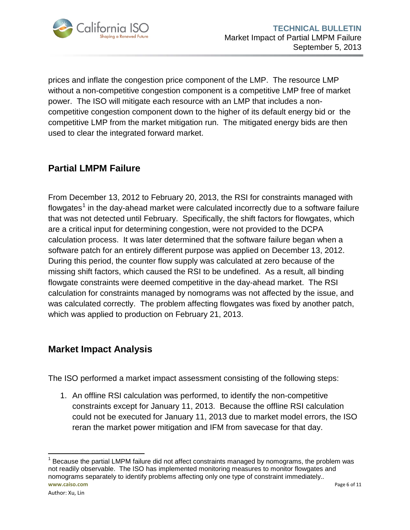

prices and inflate the congestion price component of the LMP. The resource LMP without a non-competitive congestion component is a competitive LMP free of market power. The ISO will mitigate each resource with an LMP that includes a noncompetitive congestion component down to the higher of its default energy bid or the competitive LMP from the market mitigation run. The mitigated energy bids are then used to clear the integrated forward market.

#### <span id="page-5-0"></span>**Partial LMPM Failure**

From December 13, 2012 to February 20, 2013, the RSI for constraints managed with flowgates<sup>[1](#page-5-2)</sup> in the day-ahead market were calculated incorrectly due to a software failure that was not detected until February. Specifically, the shift factors for flowgates, which are a critical input for determining congestion, were not provided to the DCPA calculation process. It was later determined that the software failure began when a software patch for an entirely different purpose was applied on December 13, 2012. During this period, the counter flow supply was calculated at zero because of the missing shift factors, which caused the RSI to be undefined. As a result, all binding flowgate constraints were deemed competitive in the day-ahead market. The RSI calculation for constraints managed by nomograms was not affected by the issue, and was calculated correctly. The problem affecting flowgates was fixed by another patch, which was applied to production on February 21, 2013.

#### <span id="page-5-1"></span>**Market Impact Analysis**

The ISO performed a market impact assessment consisting of the following steps:

1. An offline RSI calculation was performed, to identify the non-competitive constraints except for January 11, 2013. Because the offline RSI calculation could not be executed for January 11, 2013 due to market model errors, the ISO reran the market power mitigation and IFM from savecase for that day.

<span id="page-5-2"></span>**www.caiso.com** Page 6 of 11  $<sup>1</sup>$  Because the partial LMPM failure did not affect constraints managed by nomograms, the problem was</sup> not readily observable. The ISO has implemented monitoring measures to monitor flowgates and nomograms separately to identify problems affecting only one type of constraint immediately..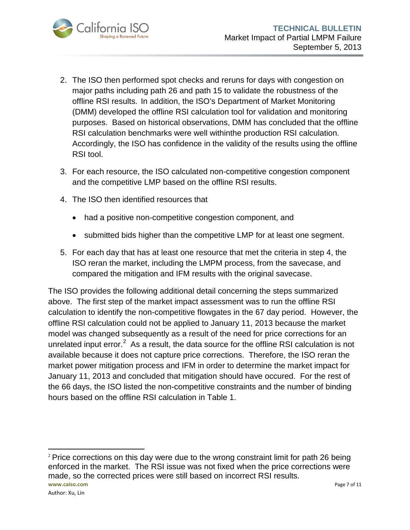

- 2. The ISO then performed spot checks and reruns for days with congestion on major paths including path 26 and path 15 to validate the robustness of the offline RSI results. In addition, the ISO's Department of Market Monitoring (DMM) developed the offline RSI calculation tool for validation and monitoring purposes. Based on historical observations, DMM has concluded that the offline RSI calculation benchmarks were well withinthe production RSI calculation. Accordingly, the ISO has confidence in the validity of the results using the offline RSI tool.
- 3. For each resource, the ISO calculated non-competitive congestion component and the competitive LMP based on the offline RSI results.
- 4. The ISO then identified resources that
	- had a positive non-competitive congestion component, and
	- submitted bids higher than the competitive LMP for at least one segment.
- 5. For each day that has at least one resource that met the criteria in step 4, the ISO reran the market, including the LMPM process, from the savecase, and compared the mitigation and IFM results with the original savecase.

The ISO provides the following additional detail concerning the steps summarized above. The first step of the market impact assessment was to run the offline RSI calculation to identify the non-competitive flowgates in the 67 day period. However, the offline RSI calculation could not be applied to January 11, 2013 because the market model was changed subsequently as a result of the need for price corrections for an unrelated input error.<sup>[2](#page-6-0)</sup> As a result, the data source for the offline RSI calculation is not available because it does not capture price corrections. Therefore, the ISO reran the market power mitigation process and IFM in order to determine the market impact for January 11, 2013 and concluded that mitigation should have occured. For the rest of the 66 days, the ISO listed the non-competitive constraints and the number of binding hours based on the offline RSI calculation in [Table 1.](#page-7-0)

<span id="page-6-0"></span>**www.caiso.com** Page 7 of 11 l  $2$  Price corrections on this day were due to the wrong constraint limit for path 26 being enforced in the market. The RSI issue was not fixed when the price corrections were made, so the corrected prices were still based on incorrect RSI results.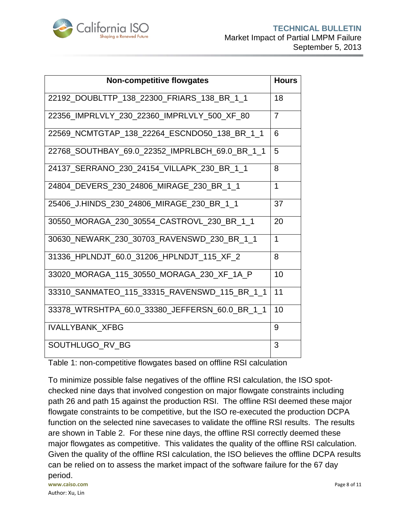

| <b>Non-competitive flowgates</b>               | <b>Hours</b> |
|------------------------------------------------|--------------|
| 22192_DOUBLTTP_138_22300_FRIARS_138_BR_1_1     | 18           |
| 22356 IMPRLVLY 230 22360 IMPRLVLY 500 XF 80    | 7            |
| 22569_NCMTGTAP_138_22264_ESCNDO50_138_BR_1_1   | 6            |
| 22768_SOUTHBAY_69.0_22352_IMPRLBCH_69.0_BR_1_1 | 5            |
| 24137 SERRANO 230 24154 VILLAPK 230 BR 1 1     | 8            |
| 24804_DEVERS_230_24806_MIRAGE_230_BR_1_1       | 1            |
| 25406 J.HINDS 230 24806 MIRAGE 230 BR 1 1      | 37           |
| 30550 MORAGA 230 30554 CASTROVL 230 BR 1 1     | 20           |
| 30630_NEWARK_230_30703_RAVENSWD_230_BR_1_1     | $\mathbf{1}$ |
| 31336 HPLNDJT 60.0 31206 HPLNDJT 115 XF 2      | 8            |
| 33020 MORAGA 115 30550 MORAGA 230 XF 1A P      | 10           |
| 33310_SANMATEO_115_33315_RAVENSWD_115_BR_1_1   | 11           |
| 33378 WTRSHTPA 60.0 33380 JEFFERSN 60.0 BR 1 1 | 10           |
| <b>IVALLYBANK XFBG</b>                         | 9            |
| SOUTHLUGO_RV_BG                                | 3            |

<span id="page-7-0"></span>Table 1: non-competitive flowgates based on offline RSI calculation

**www.caiso.com** Page 8 of 11 To minimize possible false negatives of the offline RSI calculation, the ISO spotchecked nine days that involved congestion on major flowgate constraints including path 26 and path 15 against the production RSI. The offline RSI deemed these major flowgate constraints to be competitive, but the ISO re-executed the production DCPA function on the selected nine savecases to validate the offline RSI results. The results are shown in [Table 2.](#page-8-0) For these nine days, the offline RSI correctly deemed these major flowgates as competitive. This validates the quality of the offline RSI calculation. Given the quality of the offline RSI calculation, the ISO believes the offline DCPA results can be relied on to assess the market impact of the software failure for the 67 day period.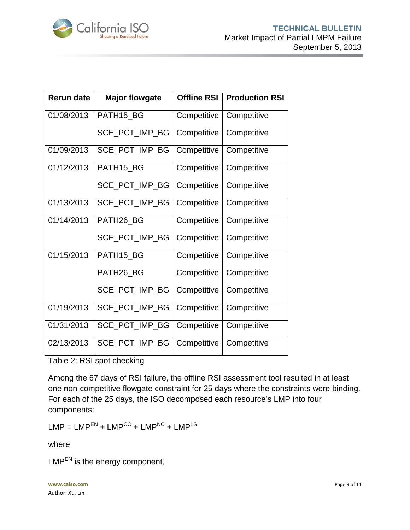

| <b>Rerun date</b> | <b>Major flowgate</b> | <b>Offline RSI</b> | <b>Production RSI</b> |
|-------------------|-----------------------|--------------------|-----------------------|
| 01/08/2013        | PATH15_BG             | Competitive        | Competitive           |
|                   | SCE_PCT_IMP_BG        | Competitive        | Competitive           |
| 01/09/2013        | SCE_PCT_IMP_BG        | Competitive        | Competitive           |
| 01/12/2013        | PATH15_BG             | Competitive        | Competitive           |
|                   | SCE_PCT_IMP_BG        | Competitive        | Competitive           |
| 01/13/2013        | SCE_PCT_IMP_BG        | Competitive        | Competitive           |
| 01/14/2013        | PATH26_BG             | Competitive        | Competitive           |
|                   | SCE_PCT_IMP_BG        | Competitive        | Competitive           |
| 01/15/2013        | PATH15_BG             | Competitive        | Competitive           |
|                   | PATH26_BG             | Competitive        | Competitive           |
|                   | SCE_PCT_IMP_BG        | Competitive        | Competitive           |
| 01/19/2013        | SCE_PCT_IMP_BG        | Competitive        | Competitive           |
| 01/31/2013        | SCE_PCT_IMP_BG        | Competitive        | Competitive           |
| 02/13/2013        | SCE_PCT_IMP_BG        | Competitive        | Competitive           |

<span id="page-8-0"></span>Table 2: RSI spot checking

Among the 67 days of RSI failure, the offline RSI assessment tool resulted in at least one non-competitive flowgate constraint for 25 days where the constraints were binding. For each of the 25 days, the ISO decomposed each resource's LMP into four components:

 $LMP = LMP<sup>EN</sup> + LMP<sup>CC</sup> + LMP<sup>NC</sup> + LMP<sup>LS</sup>$ 

where

 $LMP<sup>EN</sup>$  is the energy component,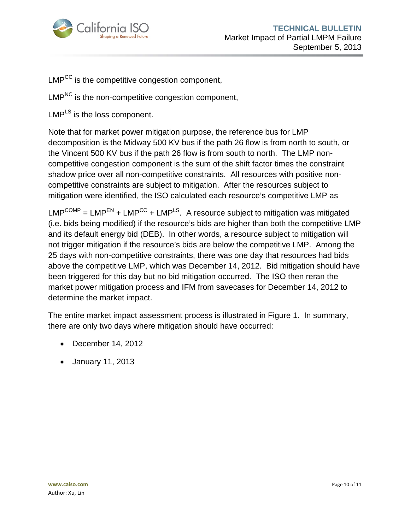

LMP<sup>CC</sup> is the competitive congestion component,

LMP<sup>NC</sup> is the non-competitive congestion component.

 $LMP<sup>LS</sup>$  is the loss component.

Note that for market power mitigation purpose, the reference bus for LMP decomposition is the Midway 500 KV bus if the path 26 flow is from north to south, or the Vincent 500 KV bus if the path 26 flow is from south to north. The LMP noncompetitive congestion component is the sum of the shift factor times the constraint shadow price over all non-competitive constraints. All resources with positive noncompetitive constraints are subject to mitigation. After the resources subject to mitigation were identified, the ISO calculated each resource's competitive LMP as

 $LMP^{COMP} = LMP^{EN} + LMP^{CC} + LMP^{LS}$ . A resource subject to mitigation was mitigated (i.e. bids being modified) if the resource's bids are higher than both the competitive LMP and its default energy bid (DEB). In other words, a resource subject to mitigation will not trigger mitigation if the resource's bids are below the competitive LMP. Among the 25 days with non-competitive constraints, there was one day that resources had bids above the competitive LMP, which was December 14, 2012. Bid mitigation should have been triggered for this day but no bid mitigation occurred. The ISO then reran the market power mitigation process and IFM from savecases for December 14, 2012 to determine the market impact.

The entire market impact assessment process is illustrated in [Figure 1.](#page-10-1) In summary, there are only two days where mitigation should have occurred:

- December 14, 2012
- January 11, 2013